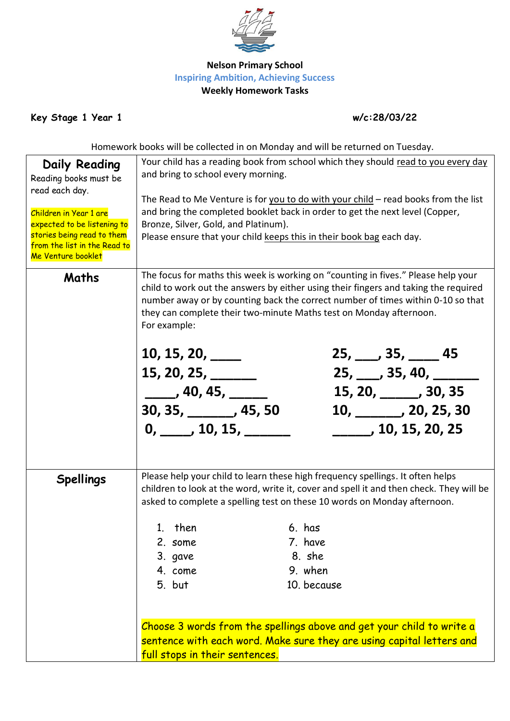

## **Nelson Primary School Inspiring Ambition, Achieving Success Weekly Homework Tasks**

**Key Stage 1 Year 1 w/c:28/03/22**

Homework books will be collected in on Monday and will be returned on Tuesday.

| <b>Daily Reading</b><br>Reading books must be<br>read each day.<br>Children in Year 1 are<br>expected to be listening to<br>stories being read to them<br>from the list in the Read to<br>Me Venture booklet | Your child has a reading book from school which they should read to you every day<br>and bring to school every morning.<br>The Read to Me Venture is for you to do with your child – read books from the list<br>and bring the completed booklet back in order to get the next level (Copper,<br>Bronze, Silver, Gold, and Platinum).<br>Please ensure that your child keeps this in their book bag each day.                                                                                   |                                                       |  |                                                                                                                    |                             |
|--------------------------------------------------------------------------------------------------------------------------------------------------------------------------------------------------------------|-------------------------------------------------------------------------------------------------------------------------------------------------------------------------------------------------------------------------------------------------------------------------------------------------------------------------------------------------------------------------------------------------------------------------------------------------------------------------------------------------|-------------------------------------------------------|--|--------------------------------------------------------------------------------------------------------------------|-----------------------------|
| Maths                                                                                                                                                                                                        | The focus for maths this week is working on "counting in fives." Please help your<br>child to work out the answers by either using their fingers and taking the required<br>number away or by counting back the correct number of times within 0-10 so that<br>they can complete their two-minute Maths test on Monday afternoon.<br>For example:<br>10, 15, 20, $\frac{1}{1}$<br>15, 20, 25,<br>_____, 40, 45, ____<br>$30, 35, \_\_\_\_$ , 45, 50<br>0, 10, 15,                               |                                                       |  | $25, \_\_\_\$ 35, $\_\_\_\$ 45<br>$25, \_\_\_$ , 35, 40, $\_\_\_\_\_$<br>15, 20, _____, 30, 35<br>, 10, 15, 20, 25 | $10, \_\_\_\_$ , 20, 25, 30 |
| <b>Spellings</b>                                                                                                                                                                                             | Please help your child to learn these high frequency spellings. It often helps<br>children to look at the word, write it, cover and spell it and then check. They will be<br>asked to complete a spelling test on these 10 words on Monday afternoon.<br>1. then<br>2. some<br>3. gave<br>4. come<br>5. but<br>Choose 3 words from the spellings above and get your child to write a<br>sentence with each word. Make sure they are using capital letters and<br>full stops in their sentences. | 6. has<br>7. have<br>8. she<br>9. when<br>10. because |  |                                                                                                                    |                             |